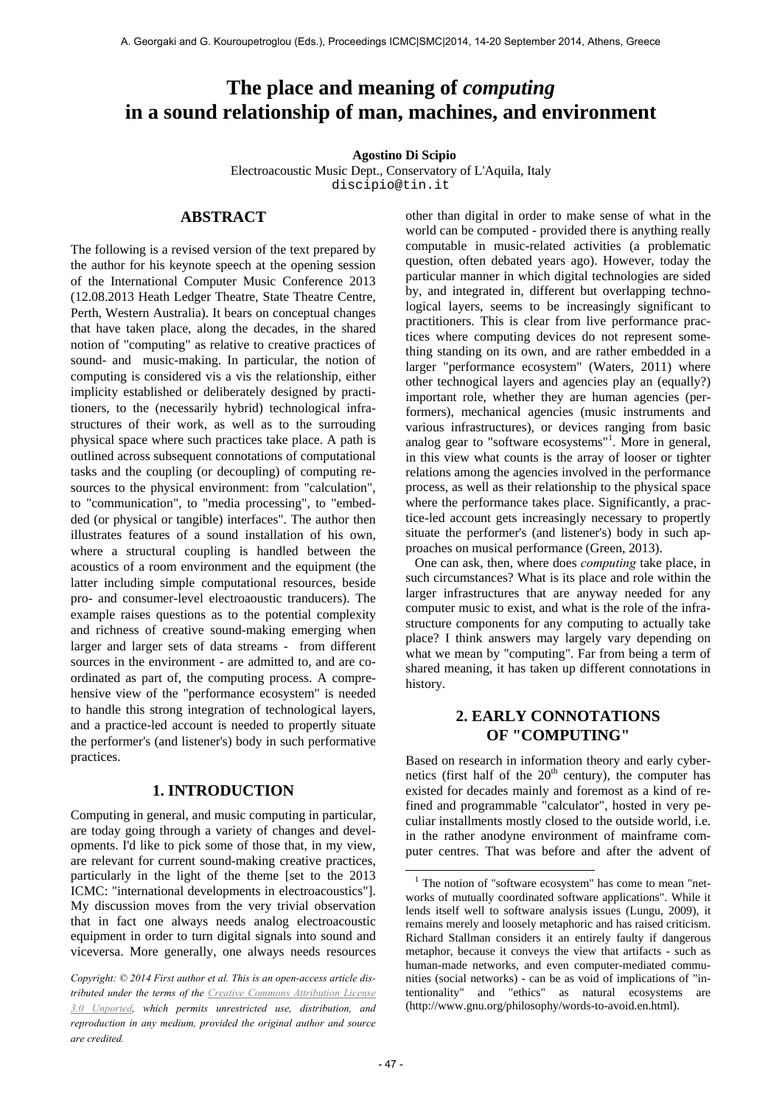# **The place and meaning of** *computing* **in a sound relationship of man, machines, and environment**

**Agostino Di Scipio**

Electroacoustic Music Dept., Conservatory of L'Aquila, Italy discipio@tin.it

## **ABSTRACT**

The following is a revised version of the text prepared by the author for his keynote speech at the opening session of the International Computer Music Conference 2013 (12.08.2013 Heath Ledger Theatre, State Theatre Centre, Perth, Western Australia). It bears on conceptual changes that have taken place, along the decades, in the shared notion of "computing" as relative to creative practices of sound- and music-making. In particular, the notion of computing is considered vis a vis the relationship, either implicity established or deliberately designed by practitioners, to the (necessarily hybrid) technological infrastructures of their work, as well as to the surrouding physical space where such practices take place. A path is outlined across subsequent connotations of computational tasks and the coupling (or decoupling) of computing resources to the physical environment: from "calculation", to "communication", to "media processing", to "embedded (or physical or tangible) interfaces". The author then illustrates features of a sound installation of his own, where a structural coupling is handled between the acoustics of a room environment and the equipment (the latter including simple computational resources, beside pro- and consumer-level electroaoustic tranducers). The example raises questions as to the potential complexity and richness of creative sound-making emerging when larger and larger sets of data streams - from different sources in the environment - are admitted to, and are coordinated as part of, the computing process. A comprehensive view of the "performance ecosystem" is needed to handle this strong integration of technological layers, and a practice-led account is needed to propertly situate the performer's (and listener's) body in such performative practices.

### **1. INTRODUCTION**

Computing in general, and music computing in particular, are today going through a variety of changes and developments. I'd like to pick some of those that, in my view, are relevant for current sound-making creative practices, particularly in the light of the theme [set to the 2013 ICMC: "international developments in electroacoustics"]. My discussion moves from the very trivial observation that in fact one always needs analog electroacoustic equipment in order to turn digital signals into sound and viceversa. More generally, one always needs resources other than digital in order to make sense of what in the world can be computed - provided there is anything really computable in music-related activities (a problematic question, often debated years ago). However, today the particular manner in which digital technologies are sided by, and integrated in, different but overlapping technological layers, seems to be increasingly significant to practitioners. This is clear from live performance practices where computing devices do not represent something standing on its own, and are rather embedded in a larger "performance ecosystem" (Waters, 2011) where other technogical layers and agencies play an (equally?) important role, whether they are human agencies (performers), mechanical agencies (music instruments and various infrastructures), or devices ranging from basic analog gear to "software ecosystems"<sup>1</sup>. More in general, in this view what counts is the array of looser or tighter relations among the agencies involved in the performance process, as well as their relationship to the physical space where the performance takes place. Significantly, a practice-led account gets increasingly necessary to propertly situate the performer's (and listener's) body in such approaches on musical performance (Green, 2013).

One can ask, then, where does *computing* take place, in such circumstances? What is its place and role within the larger infrastructures that are anyway needed for any computer music to exist, and what is the role of the infrastructure components for any computing to actually take place? I think answers may largely vary depending on what we mean by "computing". Far from being a term of shared meaning, it has taken up different connotations in history.

## **2. EARLY CONNOTATIONS OF "COMPUTING"**

Based on research in information theory and early cybernetics (first half of the  $20<sup>th</sup>$  century), the computer has existed for decades mainly and foremost as a kind of refined and programmable "calculator", hosted in very peculiar installments mostly closed to the outside world, i.e. in the rather anodyne environment of mainframe computer centres. That was before and after the advent of

*Copyright: © 2014 First author et al. This is an open-access article distributed under the terms of the Creative Commons Attribution License 3.0 Unported, which permits unrestricted use, distribution, and reproduction in any medium, provided the original author and source are credited.*

<sup>&</sup>lt;sup>1</sup> The notion of "software ecosystem" has come to mean "networks of mutually coordinated software applications". While it lends itself well to software analysis issues (Lungu, 2009), it remains merely and loosely metaphoric and has raised criticism. Richard Stallman considers it an entirely faulty if dangerous metaphor, because it conveys the view that artifacts - such as human-made networks, and even computer-mediated communities (social networks) - can be as void of implications of "intentionality" and "ethics" as natural ecosystems are (http://www.gnu.org/philosophy/words-to-avoid.en.html).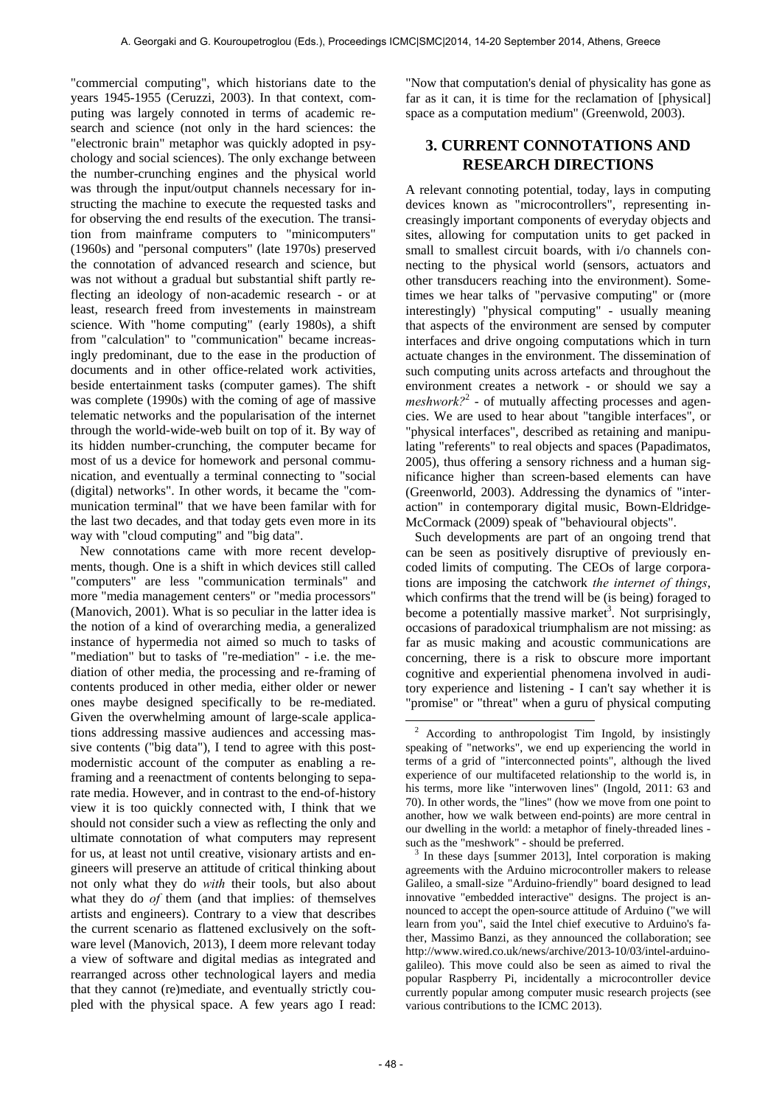"commercial computing", which historians date to the years 1945-1955 (Ceruzzi, 2003). In that context, computing was largely connoted in terms of academic research and science (not only in the hard sciences: the "electronic brain" metaphor was quickly adopted in psychology and social sciences). The only exchange between the number-crunching engines and the physical world was through the input/output channels necessary for instructing the machine to execute the requested tasks and for observing the end results of the execution. The transition from mainframe computers to "minicomputers" (1960s) and "personal computers" (late 1970s) preserved the connotation of advanced research and science, but was not without a gradual but substantial shift partly reflecting an ideology of non-academic research - or at least, research freed from investements in mainstream science. With "home computing" (early 1980s), a shift from "calculation" to "communication" became increasingly predominant, due to the ease in the production of documents and in other office-related work activities, beside entertainment tasks (computer games). The shift was complete (1990s) with the coming of age of massive telematic networks and the popularisation of the internet through the world-wide-web built on top of it. By way of its hidden number-crunching, the computer became for most of us a device for homework and personal communication, and eventually a terminal connecting to "social (digital) networks". In other words, it became the "communication terminal" that we have been familar with for the last two decades, and that today gets even more in its way with "cloud computing" and "big data".

New connotations came with more recent developments, though. One is a shift in which devices still called "computers" are less "communication terminals" and more "media management centers" or "media processors" (Manovich, 2001). What is so peculiar in the latter idea is the notion of a kind of overarching media, a generalized instance of hypermedia not aimed so much to tasks of "mediation" but to tasks of "re-mediation" - i.e. the mediation of other media, the processing and re-framing of contents produced in other media, either older or newer ones maybe designed specifically to be re-mediated. Given the overwhelming amount of large-scale applications addressing massive audiences and accessing massive contents ("big data"), I tend to agree with this postmodernistic account of the computer as enabling a reframing and a reenactment of contents belonging to separate media. However, and in contrast to the end-of-history view it is too quickly connected with, I think that we should not consider such a view as reflecting the only and ultimate connotation of what computers may represent for us, at least not until creative, visionary artists and engineers will preserve an attitude of critical thinking about not only what they do *with* their tools, but also about what they do *of* them (and that implies: of themselves artists and engineers). Contrary to a view that describes the current scenario as flattened exclusively on the software level (Manovich, 2013), I deem more relevant today a view of software and digital medias as integrated and rearranged across other technological layers and media that they cannot (re)mediate, and eventually strictly coupled with the physical space. A few years ago I read:

"Now that computation's denial of physicality has gone as far as it can, it is time for the reclamation of [physical] space as a computation medium" (Greenwold, 2003).

# **3. CURRENT CONNOTATIONS AND RESEARCH DIRECTIONS**

A relevant connoting potential, today, lays in computing devices known as "microcontrollers", representing increasingly important components of everyday objects and sites, allowing for computation units to get packed in small to smallest circuit boards, with i/o channels connecting to the physical world (sensors, actuators and other transducers reaching into the environment). Sometimes we hear talks of "pervasive computing" or (more interestingly) "physical computing" - usually meaning that aspects of the environment are sensed by computer interfaces and drive ongoing computations which in turn actuate changes in the environment. The dissemination of such computing units across artefacts and throughout the environment creates a network - or should we say a meshwork?<sup>2</sup> - of mutually affecting processes and agencies. We are used to hear about "tangible interfaces", or "physical interfaces", described as retaining and manipulating "referents" to real objects and spaces (Papadimatos, 2005), thus offering a sensory richness and a human significance higher than screen-based elements can have (Greenworld, 2003). Addressing the dynamics of "interaction" in contemporary digital music, Bown-Eldridge-McCormack (2009) speak of "behavioural objects".

Such developments are part of an ongoing trend that can be seen as positively disruptive of previously encoded limits of computing. The CEOs of large corporations are imposing the catchwork *the internet of things*, which confirms that the trend will be (is being) foraged to become a potentially massive market<sup>3</sup>. Not surprisingly, occasions of paradoxical triumphalism are not missing: as far as music making and acoustic communications are concerning, there is a risk to obscure more important cognitive and experiential phenomena involved in auditory experience and listening - I can't say whether it is "promise" or "threat" when a guru of physical computing

 $\frac{1}{2}$  According to anthropologist Tim Ingold, by insistingly speaking of "networks", we end up experiencing the world in terms of a grid of "interconnected points", although the lived experience of our multifaceted relationship to the world is, in his terms, more like "interwoven lines" (Ingold, 2011: 63 and 70). In other words, the "lines" (how we move from one point to another, how we walk between end-points) are more central in our dwelling in the world: a metaphor of finely-threaded lines such as the "meshwork" - should be preferred.

In these days [summer 2013], Intel corporation is making agreements with the Arduino microcontroller makers to release Galileo, a small-size "Arduino-friendly" board designed to lead innovative "embedded interactive" designs. The project is announced to accept the open-source attitude of Arduino ("we will learn from you", said the Intel chief executive to Arduino's father, Massimo Banzi, as they announced the collaboration; see http://www.wired.co.uk/news/archive/2013-10/03/intel-arduinogalileo). This move could also be seen as aimed to rival the popular Raspberry Pi, incidentally a microcontroller device currently popular among computer music research projects (see various contributions to the ICMC 2013).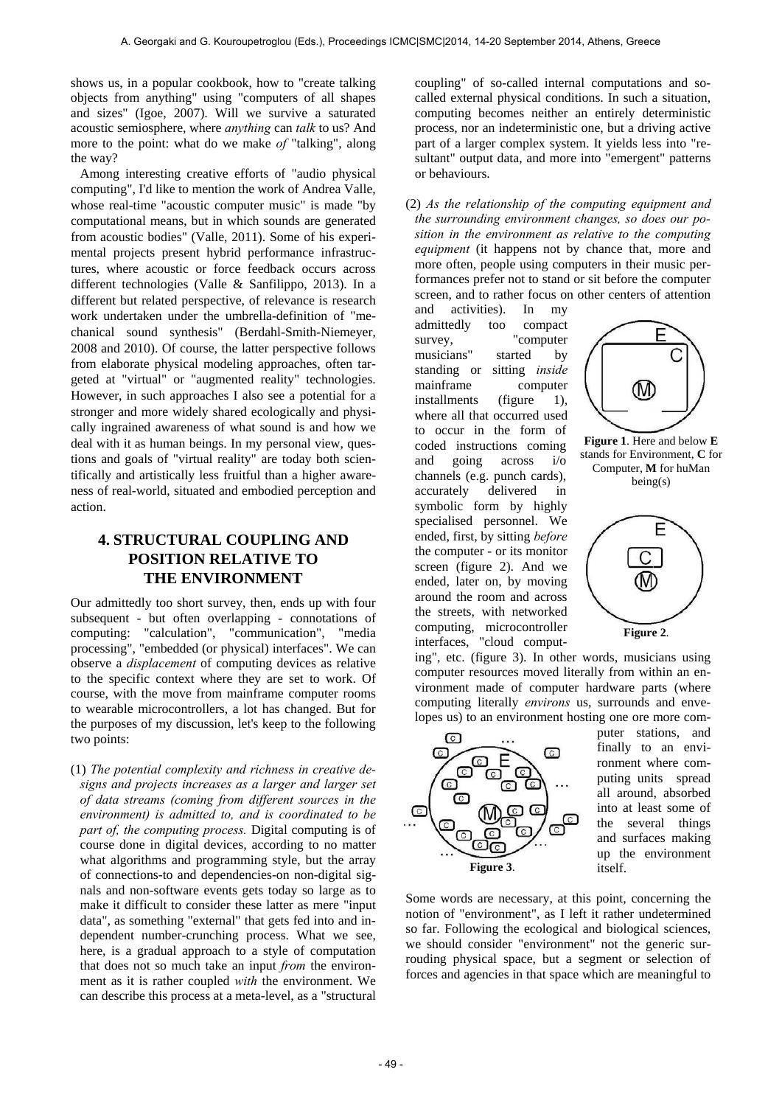shows us, in a popular cookbook, how to "create talking objects from anything" using "computers of all shapes and sizes" (Igoe, 2007). Will we survive a saturated acoustic semiosphere, where *anything* can *talk* to us? And more to the point: what do we make *of* "talking", along the way?

Among interesting creative efforts of "audio physical computing", I'd like to mention the work of Andrea Valle, whose real-time "acoustic computer music" is made "by computational means, but in which sounds are generated from acoustic bodies" (Valle, 2011). Some of his experimental projects present hybrid performance infrastructures, where acoustic or force feedback occurs across different technologies (Valle & Sanfilippo, 2013). In a different but related perspective, of relevance is research work undertaken under the umbrella-definition of "mechanical sound synthesis" (Berdahl-Smith-Niemeyer, 2008 and 2010). Of course, the latter perspective follows from elaborate physical modeling approaches, often targeted at "virtual" or "augmented reality" technologies. However, in such approaches I also see a potential for a stronger and more widely shared ecologically and physically ingrained awareness of what sound is and how we deal with it as human beings. In my personal view, questions and goals of "virtual reality" are today both scientifically and artistically less fruitful than a higher awareness of real-world, situated and embodied perception and action.

# **4. STRUCTURAL COUPLING AND POSITION RELATIVE TO THE ENVIRONMENT**

Our admittedly too short survey, then, ends up with four subsequent - but often overlapping - connotations of computing: "calculation", "communication", "media processing", "embedded (or physical) interfaces". We can observe a *displacement* of computing devices as relative to the specific context where they are set to work. Of course, with the move from mainframe computer rooms to wearable microcontrollers, a lot has changed. But for the purposes of my discussion, let's keep to the following two points:

(1) *The potential complexity and richness in creative designs and projects increases as a larger and larger set of data streams (coming from different sources in the environment) is admitted to, and is coordinated to be part of, the computing process.* Digital computing is of course done in digital devices, according to no matter what algorithms and programming style, but the array of connections-to and dependencies-on non-digital signals and non-software events gets today so large as to make it difficult to consider these latter as mere "input data", as something "external" that gets fed into and independent number-crunching process. What we see, here, is a gradual approach to a style of computation that does not so much take an input *from* the environment as it is rather coupled *with* the environment. We can describe this process at a meta-level, as a "structural

coupling" of so-called internal computations and socalled external physical conditions. In such a situation, computing becomes neither an entirely deterministic process, nor an indeterministic one, but a driving active part of a larger complex system. It yields less into "resultant" output data, and more into "emergent" patterns or behaviours.

(2) *As the relationship of the computing equipment and the surrounding environment changes, so does our position in the environment as relative to the computing equipment* (it happens not by chance that, more and more often, people using computers in their music performances prefer not to stand or sit before the computer screen, and to rather focus on other centers of attention

and activities). In my admittedly too compact survey, "computer musicians" started by standing or sitting *inside* mainframe computer installments (figure 1), where all that occurred used to occur in the form of coded instructions coming and going across i/o channels (e.g. punch cards), accurately delivered in symbolic form by highly specialised personnel. We ended, first, by sitting *before* the computer - or its monitor screen (figure 2). And we ended, later on, by moving around the room and across the streets, with networked computing, microcontroller interfaces, "cloud comput-



**Figure 1**. Here and below **E** stands for Environment, **C** for Computer, **M** for huMan being(s)



ing", etc. (figure 3). In other words, musicians using computer resources moved literally from within an environment made of computer hardware parts (where computing literally *environs* us, surrounds and envelopes us) to an environment hosting one ore more com-



puter stations, and finally to an environment where computing units spread all around, absorbed into at least some of the several things and surfaces making up the environment itself.

Some words are necessary, at this point, concerning the notion of "environment", as I left it rather undetermined so far. Following the ecological and biological sciences, we should consider "environment" not the generic surrouding physical space, but a segment or selection of forces and agencies in that space which are meaningful to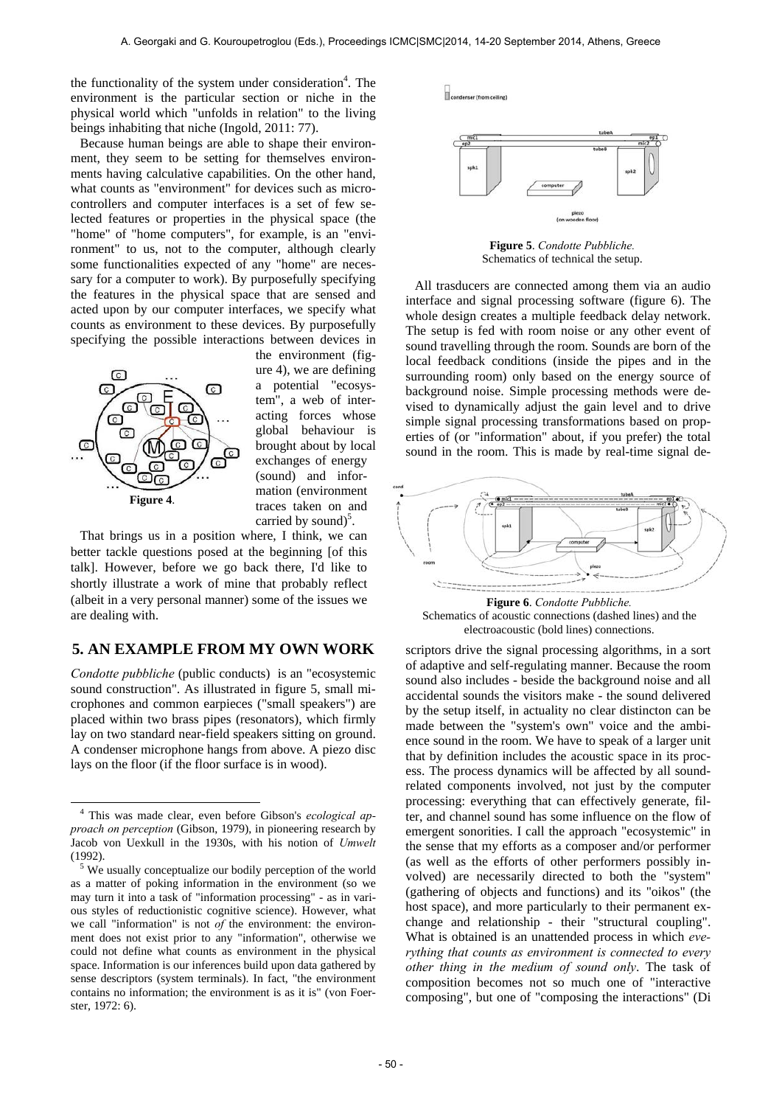the functionality of the system under consideration<sup>4</sup>. The environment is the particular section or niche in the physical world which "unfolds in relation" to the living beings inhabiting that niche (Ingold, 2011: 77).

Because human beings are able to shape their environment, they seem to be setting for themselves environments having calculative capabilities. On the other hand, what counts as "environment" for devices such as microcontrollers and computer interfaces is a set of few selected features or properties in the physical space (the "home" of "home computers", for example, is an "environment" to us, not to the computer, although clearly some functionalities expected of any "home" are necessary for a computer to work). By purposefully specifying the features in the physical space that are sensed and acted upon by our computer interfaces, we specify what counts as environment to these devices. By purposefully specifying the possible interactions between devices in



the environment (figure 4), we are defining a potential "ecosystem", a web of interacting forces whose global behaviour is brought about by local exchanges of energy (sound) and information (environment traces taken on and carried by sound) $5$ .

That brings us in a position where, I think, we can better tackle questions posed at the beginning [of this talk]. However, before we go back there, I'd like to shortly illustrate a work of mine that probably reflect (albeit in a very personal manner) some of the issues we are dealing with.

### **5. AN EXAMPLE FROM MY OWN WORK**

*Condotte pubbliche* (public conducts) is an "ecosystemic sound construction". As illustrated in figure 5, small microphones and common earpieces ("small speakers") are placed within two brass pipes (resonators), which firmly lay on two standard near-field speakers sitting on ground. A condenser microphone hangs from above. A piezo disc lays on the floor (if the floor surface is in wood).



**Figure 5**. *Condotte Pubbliche.* Schematics of technical the setup.

All trasducers are connected among them via an audio interface and signal processing software (figure 6). The whole design creates a multiple feedback delay network. The setup is fed with room noise or any other event of sound travelling through the room. Sounds are born of the local feedback conditions (inside the pipes and in the surrounding room) only based on the energy source of background noise. Simple processing methods were devised to dynamically adjust the gain level and to drive simple signal processing transformations based on properties of (or "information" about, if you prefer) the total sound in the room. This is made by real-time signal de-



Schematics of acoustic connections (dashed lines) and the electroacoustic (bold lines) connections.

scriptors drive the signal processing algorithms, in a sort of adaptive and self-regulating manner. Because the room sound also includes - beside the background noise and all accidental sounds the visitors make - the sound delivered by the setup itself, in actuality no clear distincton can be made between the "system's own" voice and the ambience sound in the room. We have to speak of a larger unit that by definition includes the acoustic space in its process. The process dynamics will be affected by all soundrelated components involved, not just by the computer processing: everything that can effectively generate, filter, and channel sound has some influence on the flow of emergent sonorities. I call the approach "ecosystemic" in the sense that my efforts as a composer and/or performer (as well as the efforts of other performers possibly involved) are necessarily directed to both the "system" (gathering of objects and functions) and its "oikos" (the host space), and more particularly to their permanent exchange and relationship - their "structural coupling". What is obtained is an unattended process in which *everything that counts as environment is connected to every other thing in the medium of sound only*. The task of composition becomes not so much one of "interactive composing", but one of "composing the interactions" (Di

 <sup>4</sup> This was made clear, even before Gibson's *ecological approach on perception* (Gibson, 1979), in pioneering research by Jacob von Uexkull in the 1930s, with his notion of *Umwelt*  $(1992)$ .

<sup>&</sup>lt;sup>5</sup> We usually conceptualize our bodily perception of the world as a matter of poking information in the environment (so we may turn it into a task of "information processing" - as in various styles of reductionistic cognitive science). However, what we call "information" is not *of* the environment: the environment does not exist prior to any "information", otherwise we could not define what counts as environment in the physical space. Information is our inferences build upon data gathered by sense descriptors (system terminals). In fact, "the environment contains no information; the environment is as it is" (von Foerster, 1972: 6).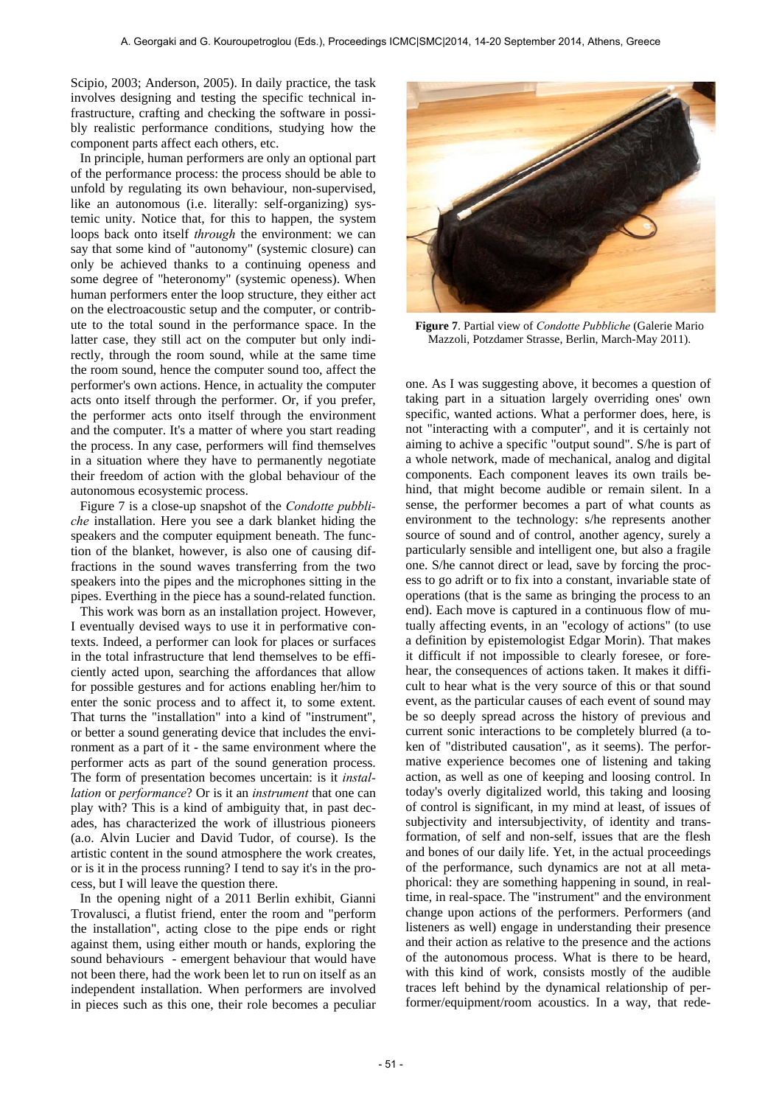Scipio, 2003; Anderson, 2005). In daily practice, the task involves designing and testing the specific technical infrastructure, crafting and checking the software in possibly realistic performance conditions, studying how the component parts affect each others, etc.

In principle, human performers are only an optional part of the performance process: the process should be able to unfold by regulating its own behaviour, non-supervised, like an autonomous (i.e. literally: self-organizing) systemic unity. Notice that, for this to happen, the system loops back onto itself *through* the environment: we can say that some kind of "autonomy" (systemic closure) can only be achieved thanks to a continuing openess and some degree of "heteronomy" (systemic openess). When human performers enter the loop structure, they either act on the electroacoustic setup and the computer, or contribute to the total sound in the performance space. In the latter case, they still act on the computer but only indirectly, through the room sound, while at the same time the room sound, hence the computer sound too, affect the performer's own actions. Hence, in actuality the computer acts onto itself through the performer. Or, if you prefer, the performer acts onto itself through the environment and the computer. It's a matter of where you start reading the process. In any case, performers will find themselves in a situation where they have to permanently negotiate their freedom of action with the global behaviour of the autonomous ecosystemic process.

Figure 7 is a close-up snapshot of the *Condotte pubbliche* installation. Here you see a dark blanket hiding the speakers and the computer equipment beneath. The function of the blanket, however, is also one of causing diffractions in the sound waves transferring from the two speakers into the pipes and the microphones sitting in the pipes. Everthing in the piece has a sound-related function.

This work was born as an installation project. However, I eventually devised ways to use it in performative contexts. Indeed, a performer can look for places or surfaces in the total infrastructure that lend themselves to be efficiently acted upon, searching the affordances that allow for possible gestures and for actions enabling her/him to enter the sonic process and to affect it, to some extent. That turns the "installation" into a kind of "instrument", or better a sound generating device that includes the environment as a part of it - the same environment where the performer acts as part of the sound generation process. The form of presentation becomes uncertain: is it *installation* or *performance*? Or is it an *instrument* that one can play with? This is a kind of ambiguity that, in past decades, has characterized the work of illustrious pioneers (a.o. Alvin Lucier and David Tudor, of course). Is the artistic content in the sound atmosphere the work creates, or is it in the process running? I tend to say it's in the process, but I will leave the question there.

In the opening night of a 2011 Berlin exhibit, Gianni Trovalusci, a flutist friend, enter the room and "perform the installation", acting close to the pipe ends or right against them, using either mouth or hands, exploring the sound behaviours - emergent behaviour that would have not been there, had the work been let to run on itself as an independent installation. When performers are involved in pieces such as this one, their role becomes a peculiar



**Figure 7**. Partial view of *Condotte Pubbliche* (Galerie Mario Mazzoli, Potzdamer Strasse, Berlin, March-May 2011).

one. As I was suggesting above, it becomes a question of taking part in a situation largely overriding ones' own specific, wanted actions. What a performer does, here, is not "interacting with a computer", and it is certainly not aiming to achive a specific "output sound". S/he is part of a whole network, made of mechanical, analog and digital components. Each component leaves its own trails behind, that might become audible or remain silent. In a sense, the performer becomes a part of what counts as environment to the technology: s/he represents another source of sound and of control, another agency, surely a particularly sensible and intelligent one, but also a fragile one. S/he cannot direct or lead, save by forcing the process to go adrift or to fix into a constant, invariable state of operations (that is the same as bringing the process to an end). Each move is captured in a continuous flow of mutually affecting events, in an "ecology of actions" (to use a definition by epistemologist Edgar Morin). That makes it difficult if not impossible to clearly foresee, or forehear, the consequences of actions taken. It makes it difficult to hear what is the very source of this or that sound event, as the particular causes of each event of sound may be so deeply spread across the history of previous and current sonic interactions to be completely blurred (a token of "distributed causation", as it seems). The performative experience becomes one of listening and taking action, as well as one of keeping and loosing control. In today's overly digitalized world, this taking and loosing of control is significant, in my mind at least, of issues of subjectivity and intersubjectivity, of identity and transformation, of self and non-self, issues that are the flesh and bones of our daily life. Yet, in the actual proceedings of the performance, such dynamics are not at all metaphorical: they are something happening in sound, in realtime, in real-space. The "instrument" and the environment change upon actions of the performers. Performers (and listeners as well) engage in understanding their presence and their action as relative to the presence and the actions of the autonomous process. What is there to be heard, with this kind of work, consists mostly of the audible traces left behind by the dynamical relationship of performer/equipment/room acoustics. In a way, that rede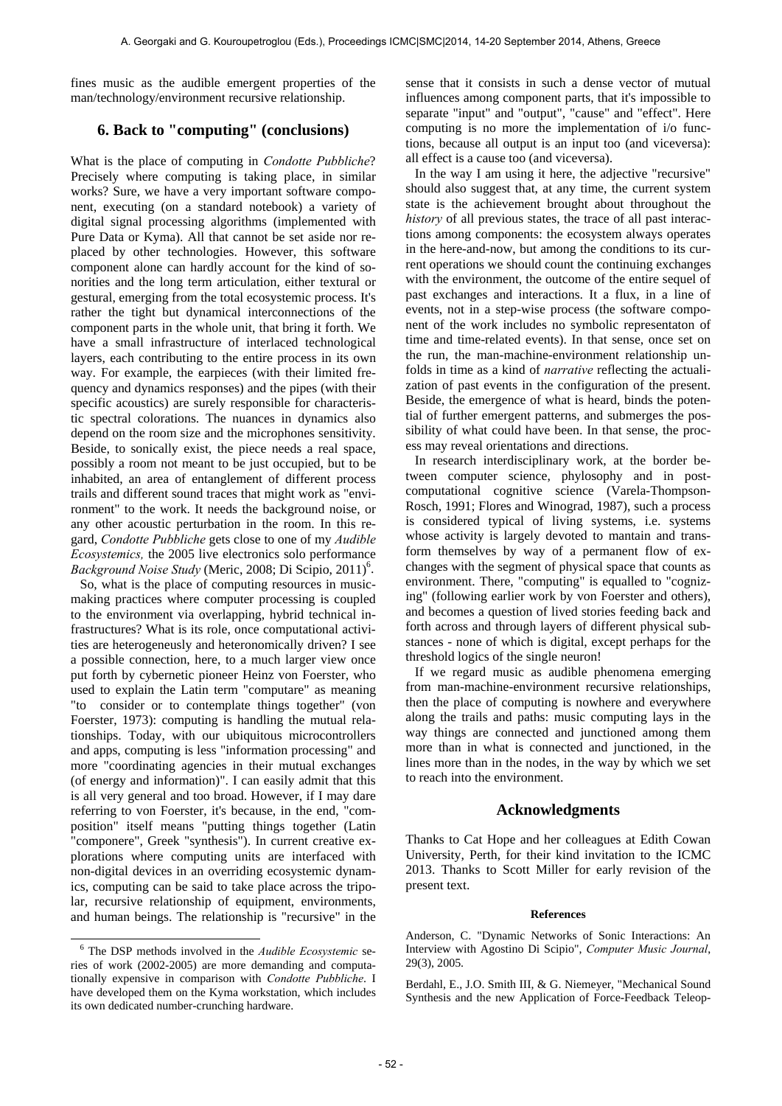fines music as the audible emergent properties of the man/technology/environment recursive relationship.

# **6. Back to "computing" (conclusions)**

What is the place of computing in *Condotte Pubbliche*? Precisely where computing is taking place, in similar works? Sure, we have a very important software component, executing (on a standard notebook) a variety of digital signal processing algorithms (implemented with Pure Data or Kyma). All that cannot be set aside nor replaced by other technologies. However, this software component alone can hardly account for the kind of sonorities and the long term articulation, either textural or gestural, emerging from the total ecosystemic process. It's rather the tight but dynamical interconnections of the component parts in the whole unit, that bring it forth. We have a small infrastructure of interlaced technological layers, each contributing to the entire process in its own way. For example, the earpieces (with their limited frequency and dynamics responses) and the pipes (with their specific acoustics) are surely responsible for characteristic spectral colorations. The nuances in dynamics also depend on the room size and the microphones sensitivity. Beside, to sonically exist, the piece needs a real space, possibly a room not meant to be just occupied, but to be inhabited, an area of entanglement of different process trails and different sound traces that might work as "environment" to the work. It needs the background noise, or any other acoustic perturbation in the room. In this regard, *Condotte Pubbliche* gets close to one of my *Audible Ecosystemics,* the 2005 live electronics solo performance Background Noise Study (Meric, 2008; Di Scipio, 2011)<sup>6</sup>.

So, what is the place of computing resources in musicmaking practices where computer processing is coupled to the environment via overlapping, hybrid technical infrastructures? What is its role, once computational activities are heterogeneusly and heteronomically driven? I see a possible connection, here, to a much larger view once put forth by cybernetic pioneer Heinz von Foerster, who used to explain the Latin term "computare" as meaning "to consider or to contemplate things together" (von Foerster, 1973): computing is handling the mutual relationships. Today, with our ubiquitous microcontrollers and apps, computing is less "information processing" and more "coordinating agencies in their mutual exchanges (of energy and information)". I can easily admit that this is all very general and too broad. However, if I may dare referring to von Foerster, it's because, in the end, "composition" itself means "putting things together (Latin "componere", Greek "synthesis"). In current creative explorations where computing units are interfaced with non-digital devices in an overriding ecosystemic dynamics, computing can be said to take place across the tripolar, recursive relationship of equipment, environments, and human beings. The relationship is "recursive" in the sense that it consists in such a dense vector of mutual influences among component parts, that it's impossible to separate "input" and "output", "cause" and "effect". Here computing is no more the implementation of i/o functions, because all output is an input too (and viceversa): all effect is a cause too (and viceversa).

In the way I am using it here, the adjective "recursive" should also suggest that, at any time, the current system state is the achievement brought about throughout the *history* of all previous states, the trace of all past interactions among components: the ecosystem always operates in the here-and-now, but among the conditions to its current operations we should count the continuing exchanges with the environment, the outcome of the entire sequel of past exchanges and interactions. It a flux, in a line of events, not in a step-wise process (the software component of the work includes no symbolic representaton of time and time-related events). In that sense, once set on the run, the man-machine-environment relationship unfolds in time as a kind of *narrative* reflecting the actualization of past events in the configuration of the present. Beside, the emergence of what is heard, binds the potential of further emergent patterns, and submerges the possibility of what could have been. In that sense, the process may reveal orientations and directions.

In research interdisciplinary work, at the border between computer science, phylosophy and in postcomputational cognitive science (Varela-Thompson-Rosch, 1991; Flores and Winograd, 1987), such a process is considered typical of living systems, i.e. systems whose activity is largely devoted to mantain and transform themselves by way of a permanent flow of exchanges with the segment of physical space that counts as environment. There, "computing" is equalled to "cognizing" (following earlier work by von Foerster and others), and becomes a question of lived stories feeding back and forth across and through layers of different physical substances - none of which is digital, except perhaps for the threshold logics of the single neuron!

If we regard music as audible phenomena emerging from man-machine-environment recursive relationships, then the place of computing is nowhere and everywhere along the trails and paths: music computing lays in the way things are connected and junctioned among them more than in what is connected and junctioned, in the lines more than in the nodes, in the way by which we set to reach into the environment.

### **Acknowledgments**

Thanks to Cat Hope and her colleagues at Edith Cowan University, Perth, for their kind invitation to the ICMC 2013. Thanks to Scott Miller for early revision of the present text.

#### **References**

Berdahl, E., J.O. Smith III, & G. Niemeyer, "Mechanical Sound Synthesis and the new Application of Force-Feedback Teleop-

 <sup>6</sup> The DSP methods involved in the *Audible Ecosystemic* series of work (2002-2005) are more demanding and computationally expensive in comparison with *Condotte Pubbliche*. I have developed them on the Kyma workstation, which includes its own dedicated number-crunching hardware.

Anderson, C. "Dynamic Networks of Sonic Interactions: An Interview with Agostino Di Scipio", *Computer Music Journal*, 29(3), 2005.